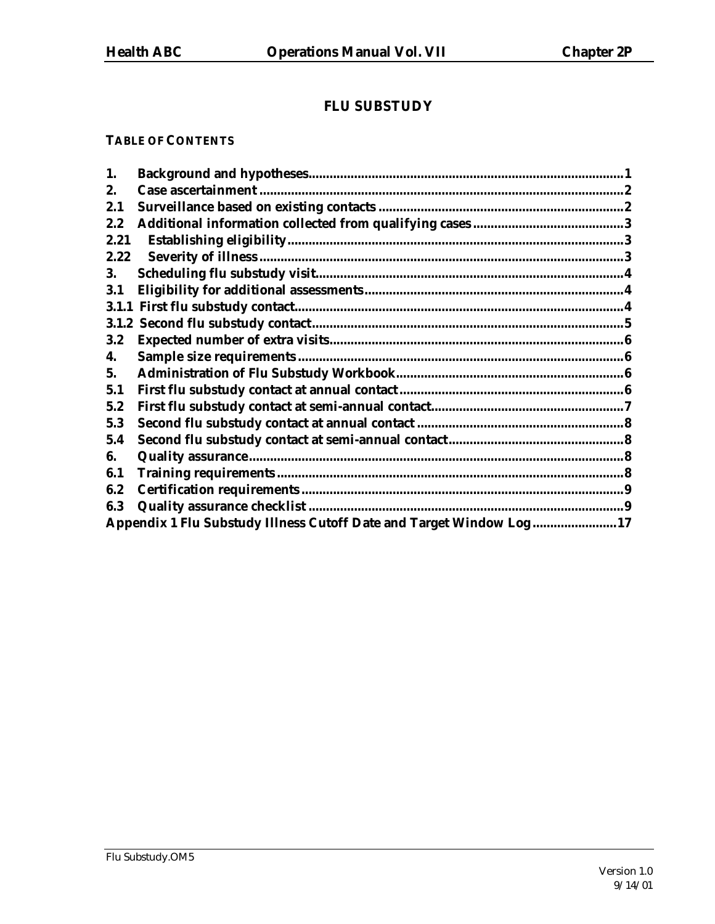# **FLU SUBSTUDY**

# **TABLE OF CONTENTS**

| 1.    |                                                                     |  |  |  |
|-------|---------------------------------------------------------------------|--|--|--|
| 2.    |                                                                     |  |  |  |
| 2.1   |                                                                     |  |  |  |
| 2.2   |                                                                     |  |  |  |
| 2.21  |                                                                     |  |  |  |
| 2.22  |                                                                     |  |  |  |
| 3.    |                                                                     |  |  |  |
| 3.1   |                                                                     |  |  |  |
|       |                                                                     |  |  |  |
| 3.1.2 |                                                                     |  |  |  |
| 3.2   |                                                                     |  |  |  |
| 4.    |                                                                     |  |  |  |
| 5.    |                                                                     |  |  |  |
| 5.1   |                                                                     |  |  |  |
| 5.2   |                                                                     |  |  |  |
| 5.3   |                                                                     |  |  |  |
| 5.4   |                                                                     |  |  |  |
| 6.    |                                                                     |  |  |  |
| 6.1   |                                                                     |  |  |  |
| 6.2   |                                                                     |  |  |  |
| 6.3   |                                                                     |  |  |  |
|       | Appendix 1 Flu Substudy Illness Cutoff Date and Target Window Log17 |  |  |  |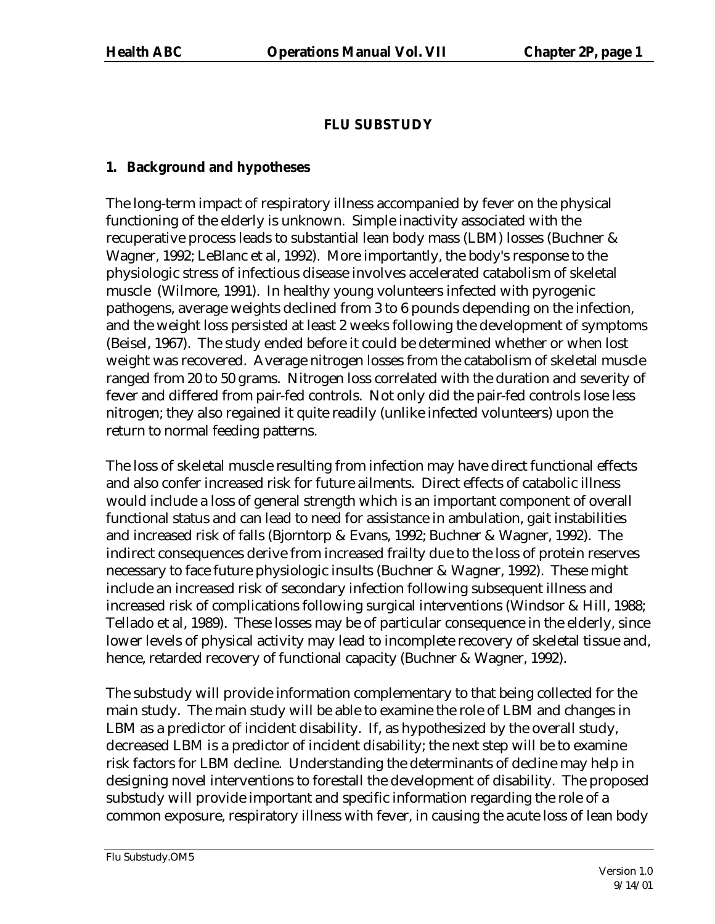# **FLU SUBSTUDY**

# **1. Background and hypotheses**

The long-term impact of respiratory illness accompanied by fever on the physical functioning of the elderly is unknown. Simple inactivity associated with the recuperative process leads to substantial lean body mass (LBM) losses (Buchner & Wagner, 1992; LeBlanc et al, 1992). More importantly, the body's response to the physiologic stress of infectious disease involves accelerated catabolism of skeletal muscle (Wilmore, 1991). In healthy young volunteers infected with pyrogenic pathogens, average weights declined from 3 to 6 pounds depending on the infection, and the weight loss persisted at least 2 weeks following the development of symptoms (Beisel, 1967). The study ended before it could be determined whether or when lost weight was recovered. Average nitrogen losses from the catabolism of skeletal muscle ranged from 20 to 50 grams. Nitrogen loss correlated with the duration and severity of fever and differed from pair-fed controls. Not only did the pair-fed controls lose less nitrogen; they also regained it quite readily (unlike infected volunteers) upon the return to normal feeding patterns.

The loss of skeletal muscle resulting from infection may have direct functional effects and also confer increased risk for future ailments. Direct effects of catabolic illness would include a loss of general strength which is an important component of overall functional status and can lead to need for assistance in ambulation, gait instabilities and increased risk of falls (Bjorntorp & Evans, 1992; Buchner & Wagner, 1992). The indirect consequences derive from increased frailty due to the loss of protein reserves necessary to face future physiologic insults (Buchner & Wagner, 1992). These might include an increased risk of secondary infection following subsequent illness and increased risk of complications following surgical interventions (Windsor & Hill, 1988; Tellado et al, 1989). These losses may be of particular consequence in the elderly, since lower levels of physical activity may lead to incomplete recovery of skeletal tissue and, hence, retarded recovery of functional capacity (Buchner & Wagner, 1992).

The substudy will provide information complementary to that being collected for the main study. The main study will be able to examine the role of LBM and changes in LBM as a predictor of incident disability. If, as hypothesized by the overall study, decreased LBM is a predictor of incident disability; the next step will be to examine risk factors for LBM decline. Understanding the determinants of decline may help in designing novel interventions to forestall the development of disability. The proposed substudy will provide important and specific information regarding the role of a common exposure, respiratory illness with fever, in causing the acute loss of lean body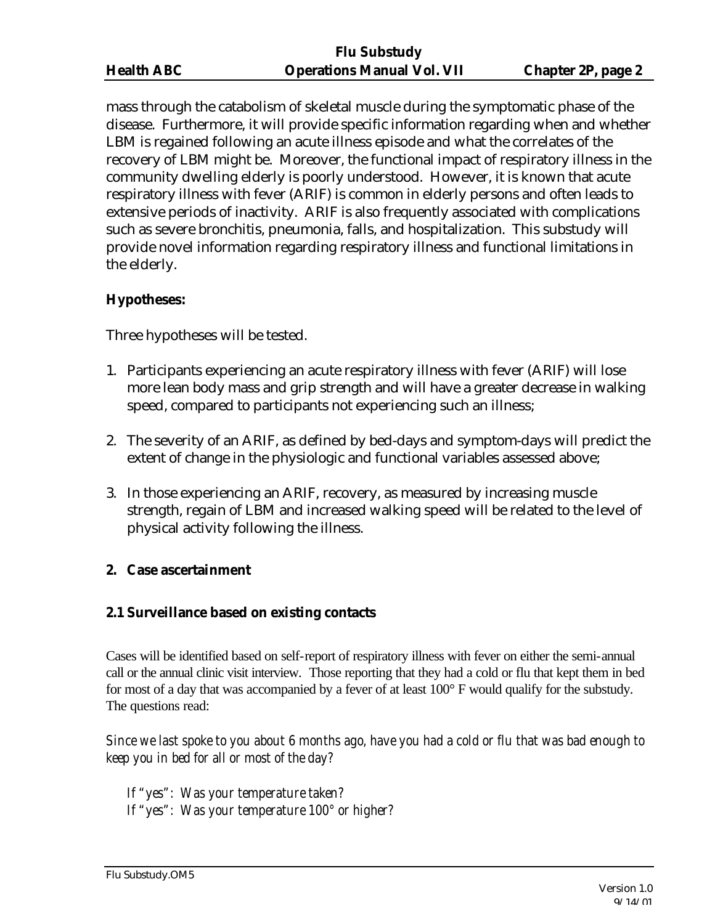| <b>Health ABC</b> |  |
|-------------------|--|
|                   |  |

mass through the catabolism of skeletal muscle during the symptomatic phase of the disease. Furthermore, it will provide specific information regarding when and whether LBM is regained following an acute illness episode and what the correlates of the recovery of LBM might be. Moreover, the functional impact of respiratory illness in the community dwelling elderly is poorly understood. However, it is known that acute respiratory illness with fever (ARIF) is common in elderly persons and often leads to extensive periods of inactivity. ARIF is also frequently associated with complications such as severe bronchitis, pneumonia, falls, and hospitalization. This substudy will provide novel information regarding respiratory illness and functional limitations in the elderly.

# **Hypotheses:**

Three hypotheses will be tested.

- 1. Participants experiencing an acute respiratory illness with fever (ARIF) will lose more lean body mass and grip strength and will have a greater decrease in walking speed, compared to participants not experiencing such an illness;
- 2. The severity of an ARIF, as defined by bed-days and symptom-days will predict the extent of change in the physiologic and functional variables assessed above;
- 3. In those experiencing an ARIF, recovery, as measured by increasing muscle strength, regain of LBM and increased walking speed will be related to the level of physical activity following the illness.

# **2. Case ascertainment**

# **2.1 Surveillance based on existing contacts**

Cases will be identified based on self-report of respiratory illness with fever on either the semi-annual call or the annual clinic visit interview. Those reporting that they had a cold or flu that kept them in bed for most of a day that was accompanied by a fever of at least 100° F would qualify for the substudy. The questions read:

*Since we last spoke to you about 6 months ago, have you had a cold or flu that was bad enough to keep you in bed for all or most of the day?*

*If "yes": Was your temperature taken? If "yes": Was your temperature 100° or higher?*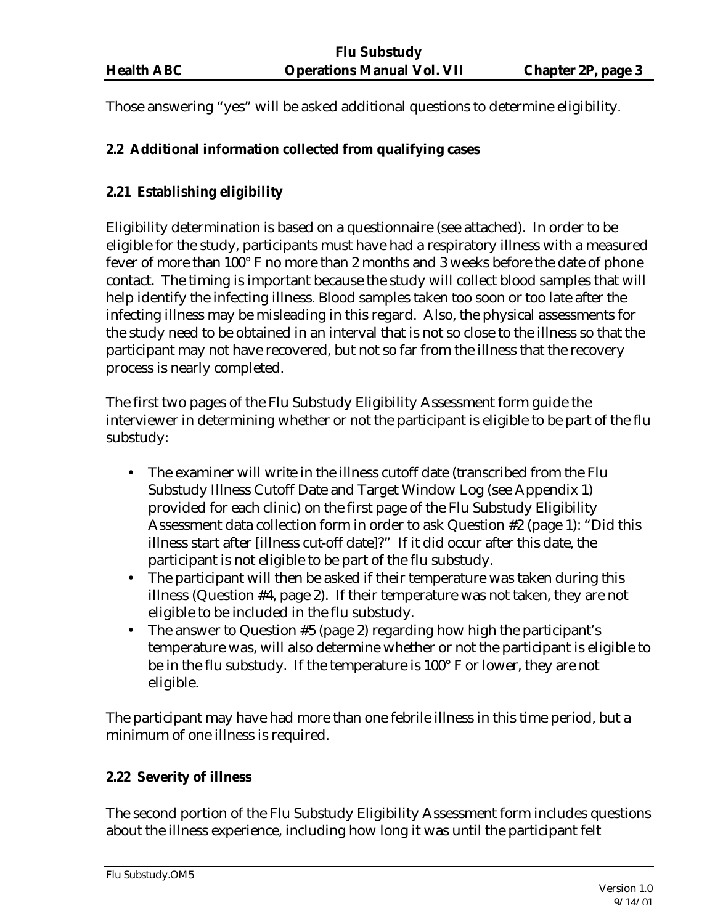Those answering "yes" will be asked additional questions to determine eligibility.

# **2.2 Additional information collected from qualifying cases**

# **2.21 Establishing eligibility**

Eligibility determination is based on a questionnaire (see attached). In order to be eligible for the study, participants must have had a respiratory illness with a measured fever of more than 100° F no more than 2 months and 3 weeks before the date of phone contact. The timing is important because the study will collect blood samples that will help identify the infecting illness. Blood samples taken too soon or too late after the infecting illness may be misleading in this regard. Also, the physical assessments for the study need to be obtained in an interval that is not so close to the illness so that the participant may not have recovered, but not so far from the illness that the recovery process is nearly completed.

The first two pages of the Flu Substudy Eligibility Assessment form guide the interviewer in determining whether or not the participant is eligible to be part of the flu substudy:

- The examiner will write in the illness cutoff date (transcribed from the Flu Substudy Illness Cutoff Date and Target Window Log (see Appendix 1) provided for each clinic) on the first page of the Flu Substudy Eligibility Assessment data collection form in order to ask Question #2 (page 1): "Did this illness start after [illness cut-off date]?" If it did occur after this date, the participant is not eligible to be part of the flu substudy.
- The participant will then be asked if their temperature was taken during this illness (Question #4, page 2). If their temperature was not taken, they are not eligible to be included in the flu substudy.
- The answer to Question #5 (page 2) regarding how high the participant's temperature was, will also determine whether or not the participant is eligible to be in the flu substudy. If the temperature is 100° F or lower, they are not eligible.

The participant may have had more than one febrile illness in this time period, but a minimum of one illness is required.

# **2.22 Severity of illness**

The second portion of the Flu Substudy Eligibility Assessment form includes questions about the illness experience, including how long it was until the participant felt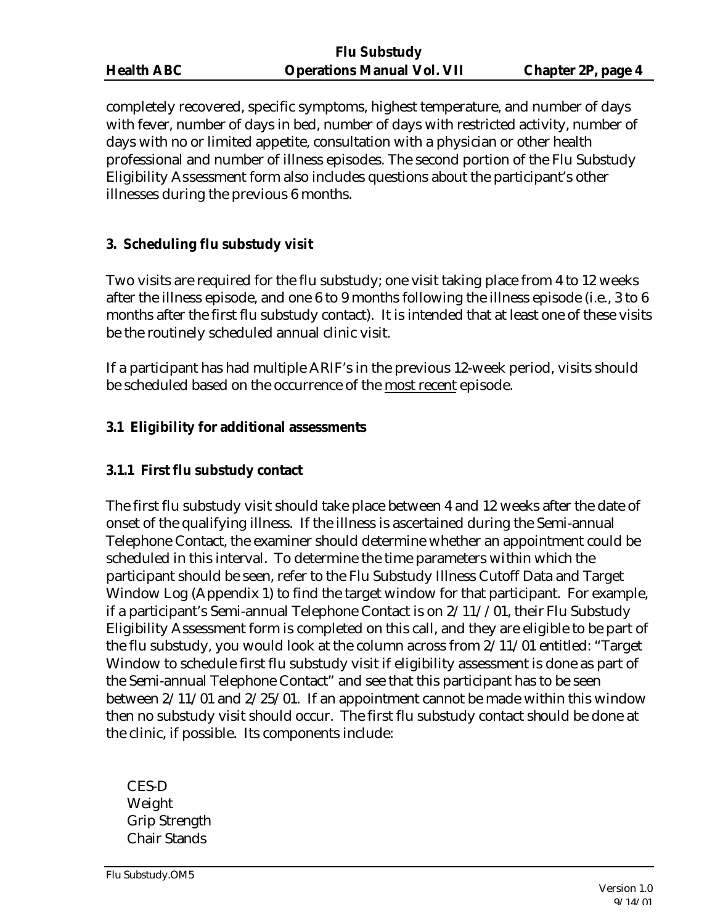| <b>Health ABC</b> |  |
|-------------------|--|
|                   |  |

completely recovered, specific symptoms, highest temperature, and number of days with fever, number of days in bed, number of days with restricted activity, number of days with no or limited appetite, consultation with a physician or other health professional and number of illness episodes. The second portion of the Flu Substudy Eligibility Assessment form also includes questions about the participant's other illnesses during the previous 6 months.

# **3. Scheduling flu substudy visit**

Two visits are required for the flu substudy; one visit taking place from 4 to 12 weeks after the illness episode, and one 6 to 9 months following the illness episode (i.e., 3 to 6 months after the first flu substudy contact). It is intended that at least one of these visits be the routinely scheduled annual clinic visit.

If a participant has had multiple ARIF's in the previous 12-week period, visits should be scheduled based on the occurrence of the most recent episode.

# **3.1 Eligibility for additional assessments**

# **3.1.1 First flu substudy contact**

The first flu substudy visit should take place between 4 and 12 weeks after the date of onset of the qualifying illness. If the illness is ascertained during the Semi-annual Telephone Contact, the examiner should determine whether an appointment could be scheduled in this interval. To determine the time parameters within which the participant should be seen, refer to the Flu Substudy Illness Cutoff Data and Target Window Log (Appendix 1) to find the target window for that participant. For example, if a participant's Semi-annual Telephone Contact is on 2/11//01, their Flu Substudy Eligibility Assessment form is completed on this call, and they are eligible to be part of the flu substudy, you would look at the column across from 2/11/01 entitled: "Target Window to schedule first flu substudy visit if eligibility assessment is done as part of the Semi-annual Telephone Contact" and see that this participant has to be seen between 2/11/01 and 2/25/01. If an appointment cannot be made within this window then no substudy visit should occur. The first flu substudy contact should be done at the clinic, if possible. Its components include:

CES-D Weight Grip Strength Chair Stands

Flu Substudy.OM5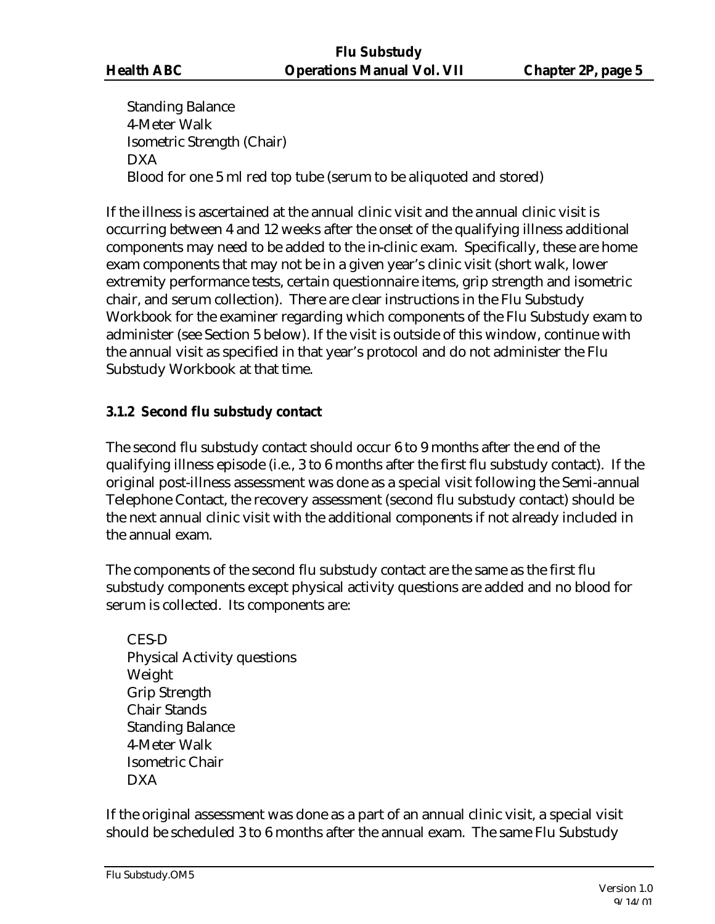Standing Balance 4-Meter Walk Isometric Strength (Chair) DXA Blood for one 5 ml red top tube (serum to be aliquoted and stored)

If the illness is ascertained at the annual clinic visit and the annual clinic visit is occurring between 4 and 12 weeks after the onset of the qualifying illness additional components may need to be added to the in-clinic exam. Specifically, these are home exam components that may not be in a given year's clinic visit (short walk, lower extremity performance tests, certain questionnaire items, grip strength and isometric chair, and serum collection). There are clear instructions in the Flu Substudy Workbook for the examiner regarding which components of the Flu Substudy exam to administer (see Section 5 below). If the visit is outside of this window, continue with the annual visit as specified in that year's protocol and do not administer the Flu Substudy Workbook at that time.

# **3.1.2 Second flu substudy contact**

The second flu substudy contact should occur 6 to 9 months after the end of the qualifying illness episode (i.e., 3 to 6 months after the first flu substudy contact). If the original post-illness assessment was done as a special visit following the Semi-annual Telephone Contact, the recovery assessment (second flu substudy contact) should be the next annual clinic visit with the additional components if not already included in the annual exam.

The components of the second flu substudy contact are the same as the first flu substudy components except physical activity questions are added and no blood for serum is collected. Its components are:

CES-D Physical Activity questions Weight Grip Strength Chair Stands Standing Balance 4-Meter Walk Isometric Chair DXA

If the original assessment was done as a part of an annual clinic visit, a special visit should be scheduled 3 to 6 months after the annual exam. The same Flu Substudy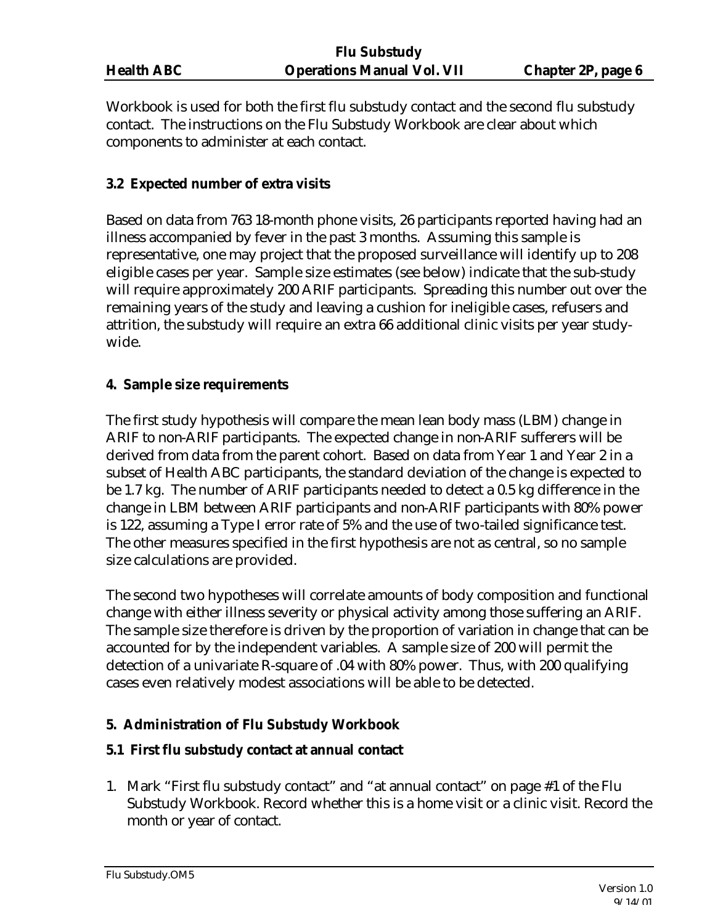Workbook is used for both the first flu substudy contact and the second flu substudy contact. The instructions on the Flu Substudy Workbook are clear about which components to administer at each contact.

# **3.2 Expected number of extra visits**

Based on data from 763 18-month phone visits, 26 participants reported having had an illness accompanied by fever in the past 3 months. Assuming this sample is representative, one may project that the proposed surveillance will identify up to 208 eligible cases per year. Sample size estimates (see below) indicate that the sub-study will require approximately 200 ARIF participants. Spreading this number out over the remaining years of the study and leaving a cushion for ineligible cases, refusers and attrition, the substudy will require an extra 66 additional clinic visits per year studywide.

### **4. Sample size requirements**

The first study hypothesis will compare the mean lean body mass (LBM) change in ARIF to non-ARIF participants. The expected change in non-ARIF sufferers will be derived from data from the parent cohort. Based on data from Year 1 and Year 2 in a subset of Health ABC participants, the standard deviation of the change is expected to be 1.7 kg. The number of ARIF participants needed to detect a 0.5 kg difference in the change in LBM between ARIF participants and non-ARIF participants with 80% power is 122, assuming a Type I error rate of 5% and the use of two-tailed significance test. The other measures specified in the first hypothesis are not as central, so no sample size calculations are provided.

The second two hypotheses will correlate amounts of body composition and functional change with either illness severity or physical activity among those suffering an ARIF. The sample size therefore is driven by the proportion of variation in change that can be accounted for by the independent variables. A sample size of 200 will permit the detection of a univariate R-square of .04 with 80% power. Thus, with 200 qualifying cases even relatively modest associations will be able to be detected.

# **5. Administration of Flu Substudy Workbook**

# **5.1 First flu substudy contact at annual contact**

1. Mark "First flu substudy contact" and "at annual contact" on page #1 of the Flu Substudy Workbook. Record whether this is a home visit or a clinic visit. Record the month or year of contact.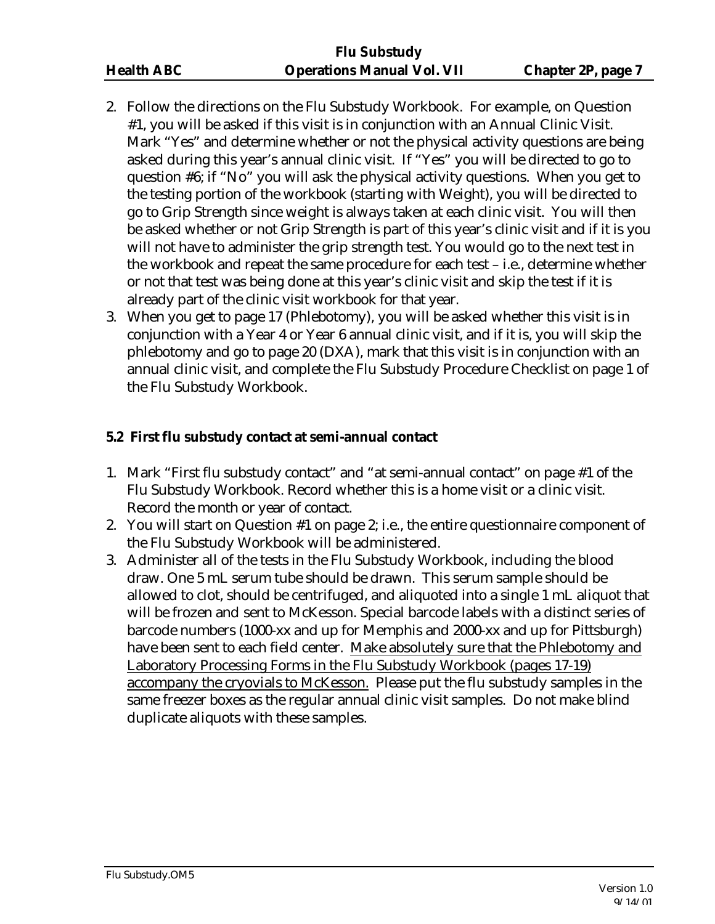- 2. Follow the directions on the Flu Substudy Workbook. For example, on Question #1, you will be asked if this visit is in conjunction with an Annual Clinic Visit. Mark "Yes" and determine whether or not the physical activity questions are being asked during this year's annual clinic visit. If "Yes" you will be directed to go to question #6; if "No" you will ask the physical activity questions. When you get to the testing portion of the workbook (starting with Weight), you will be directed to go to Grip Strength since weight is always taken at each clinic visit. You will then be asked whether or not Grip Strength is part of this year's clinic visit and if it is you will not have to administer the grip strength test. You would go to the next test in the workbook and repeat the same procedure for each test – i.e., determine whether or not that test was being done at this year's clinic visit and skip the test if it is already part of the clinic visit workbook for that year.
- 3. When you get to page 17 (Phlebotomy), you will be asked whether this visit is in conjunction with a Year 4 or Year 6 annual clinic visit, and if it is, you will skip the phlebotomy and go to page 20 (DXA), mark that this visit is in conjunction with an annual clinic visit, and complete the Flu Substudy Procedure Checklist on page 1 of the Flu Substudy Workbook.

# **5.2 First flu substudy contact at semi-annual contact**

- 1. Mark "First flu substudy contact" and "at semi-annual contact" on page #1 of the Flu Substudy Workbook. Record whether this is a home visit or a clinic visit. Record the month or year of contact.
- 2. You will start on Question #1 on page 2; i.e., the entire questionnaire component of the Flu Substudy Workbook will be administered.
- 3. Administer all of the tests in the Flu Substudy Workbook, including the blood draw. One 5 mL serum tube should be drawn. This serum sample should be allowed to clot, should be centrifuged, and aliquoted into a single 1 mL aliquot that will be frozen and sent to McKesson. Special barcode labels with a distinct series of barcode numbers (1000-xx and up for Memphis and 2000-xx and up for Pittsburgh) have been sent to each field center. Make absolutely sure that the Phlebotomy and Laboratory Processing Forms in the Flu Substudy Workbook (pages 17-19) accompany the cryovials to McKesson. Please put the flu substudy samples in the same freezer boxes as the regular annual clinic visit samples. Do not make blind duplicate aliquots with these samples.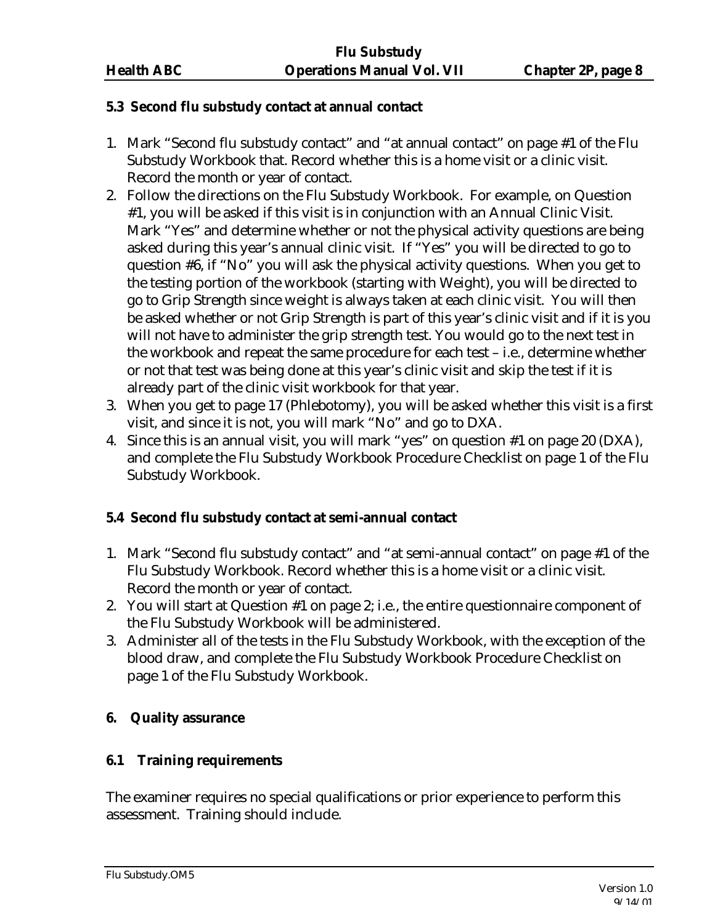### **5.3 Second flu substudy contact at annual contact**

- 1. Mark "Second flu substudy contact" and "at annual contact" on page #1 of the Flu Substudy Workbook that. Record whether this is a home visit or a clinic visit. Record the month or year of contact.
- 2. Follow the directions on the Flu Substudy Workbook. For example, on Question #1, you will be asked if this visit is in conjunction with an Annual Clinic Visit. Mark "Yes" and determine whether or not the physical activity questions are being asked during this year's annual clinic visit. If "Yes" you will be directed to go to question #6, if "No" you will ask the physical activity questions. When you get to the testing portion of the workbook (starting with Weight), you will be directed to go to Grip Strength since weight is always taken at each clinic visit. You will then be asked whether or not Grip Strength is part of this year's clinic visit and if it is you will not have to administer the grip strength test. You would go to the next test in the workbook and repeat the same procedure for each test – i.e., determine whether or not that test was being done at this year's clinic visit and skip the test if it is already part of the clinic visit workbook for that year.
- 3. When you get to page 17 (Phlebotomy), you will be asked whether this visit is a first visit, and since it is not, you will mark "No" and go to DXA.
- 4. Since this is an annual visit, you will mark "yes" on question #1 on page 20 (DXA), and complete the Flu Substudy Workbook Procedure Checklist on page 1 of the Flu Substudy Workbook.

# **5.4 Second flu substudy contact at semi-annual contact**

- 1. Mark "Second flu substudy contact" and "at semi-annual contact" on page #1 of the Flu Substudy Workbook. Record whether this is a home visit or a clinic visit. Record the month or year of contact.
- 2. You will start at Question #1 on page 2; i.e., the entire questionnaire component of the Flu Substudy Workbook will be administered.
- 3. Administer all of the tests in the Flu Substudy Workbook, with the exception of the blood draw, and complete the Flu Substudy Workbook Procedure Checklist on page 1 of the Flu Substudy Workbook.

# **6. Quality assurance**

# **6.1 Training requirements**

The examiner requires no special qualifications or prior experience to perform this assessment. Training should include.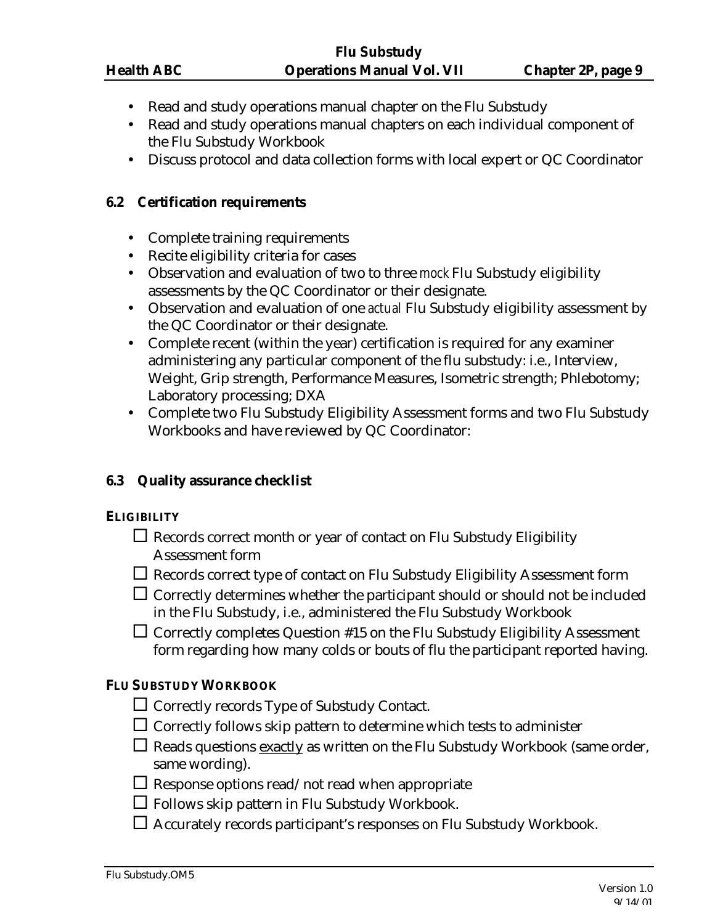- Read and study operations manual chapter on the Flu Substudy
- Read and study operations manual chapters on each individual component of the Flu Substudy Workbook
- Discuss protocol and data collection forms with local expert or QC Coordinator

### **6.2 Certification requirements**

- Complete training requirements
- Recite eligibility criteria for cases
- Observation and evaluation of two to three *mock* Flu Substudy eligibility assessments by the QC Coordinator or their designate.
- Observation and evaluation of one *actual* Flu Substudy eligibility assessment by the QC Coordinator or their designate.
- Complete recent (within the year) certification is required for any examiner administering any particular component of the flu substudy: i.e., Interview, Weight, Grip strength, Performance Measures, Isometric strength; Phlebotomy; Laboratory processing; DXA
- Complete two Flu Substudy Eligibility Assessment forms and two Flu Substudy Workbooks and have reviewed by QC Coordinator:

# **6.3 Quality assurance checklist**

# **ELIGIBILITY**

- $\Box$  Records correct month or year of contact on Flu Substudy Eligibility Assessment form
- $\Box$  Records correct type of contact on Flu Substudy Eligibility Assessment form
- $\Box$  Correctly determines whether the participant should or should not be included in the Flu Substudy, i.e., administered the Flu Substudy Workbook

 $\Box$  Correctly completes Question #15 on the Flu Substudy Eligibility Assessment form regarding how many colds or bouts of flu the participant reported having.

# **FLU SUBSTUDY WORKBOOK**

- $\Box$  Correctly records Type of Substudy Contact.
- $\Box$  Correctly follows skip pattern to determine which tests to administer
- $\Box$  Reads questions exactly as written on the Flu Substudy Workbook (same order, same wording).
- $\Box$  <br> Response options read/not read when appropriate
- $\Box$  Follows skip pattern in Flu Substudy Workbook.
- $\Box$  Accurately records participant's responses on Flu Substudy Workbook.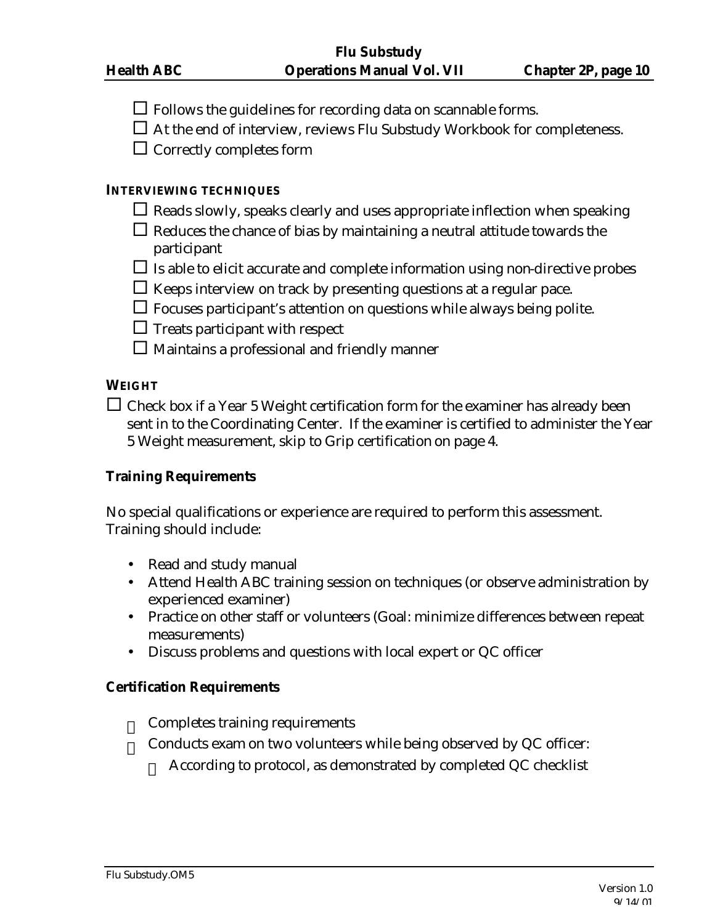- $\Box$  Follows the guidelines for recording data on scannable forms.
- $\Box$  At the end of interview, reviews Flu Substudy Workbook for completeness.
- $\square$  Correctly completes form

#### **INTERVIEWING TECHNIQUES**

- $\Box$  Reads slowly, speaks clearly and uses appropriate inflection when speaking
- $\Box$  Reduces the chance of bias by maintaining a neutral attitude towards the participant
- $\Box$  Is able to elicit accurate and complete information using non-directive probes
- $\Box$  Keeps interview on track by presenting questions at a regular pace.
- $\Box$  Focuses participant's attention on questions while always being polite.
- $\Box$  Treats participant with respect
- $\square$  Maintains a professional and friendly manner

### **WEIGHT**

 $\Box$  Check box if a Year 5 Weight certification form for the examiner has already been sent in to the Coordinating Center. If the examiner is certified to administer the Year 5 Weight measurement, skip to Grip certification on page 4.

#### **Training Requirements**

No special qualifications or experience are required to perform this assessment. Training should include:

- Read and study manual
- Attend Health ABC training session on techniques (or observe administration by experienced examiner)
- Practice on other staff or volunteers (Goal: minimize differences between repeat measurements)
- Discuss problems and questions with local expert or QC officer

#### **Certification Requirements**

- Completes training requirements
- Conducts exam on two volunteers while being observed by QC officer:
	- According to protocol, as demonstrated by completed QC checklist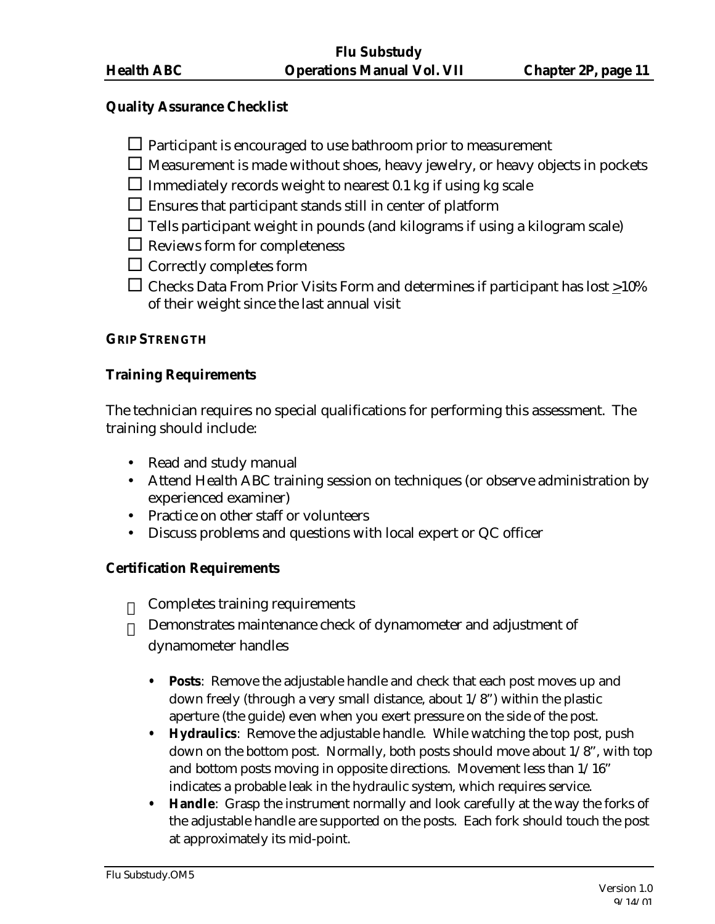#### **Quality Assurance Checklist**

 $\Box$  Participant is encouraged to use bathroom prior to measurement

- $\Box$  Measurement is made without shoes, heavy jewelry, or heavy objects in pockets
- $\square$  Immediately records weight to nearest 0.1 kg if using kg scale
- $\square$  Ensures that participant stands still in center of platform
- $\Box$  Tells participant weight in pounds (and kilograms if using a kilogram scale)
- $\Box$  Reviews form for completeness
- $\square$  Correctly completes form
- $\Box$  Checks Data From Prior Visits Form and determines if participant has lost  $\geq$ 10% of their weight since the last annual visit

### **GRIP STRENGTH**

# **Training Requirements**

The technician requires no special qualifications for performing this assessment. The training should include:

- Read and study manual
- Attend Health ABC training session on techniques (or observe administration by experienced examiner)
- Practice on other staff or volunteers
- Discuss problems and questions with local expert or QC officer

# **Certification Requirements**

- Completes training requirements
- Demonstrates maintenance check of dynamometer and adjustment of dynamometer handles
	- **• Posts**: Remove the adjustable handle and check that each post moves up and down freely (through a very small distance, about 1/8") within the plastic aperture (the guide) even when you exert pressure on the side of the post.
	- **• Hydraulics**: Remove the adjustable handle. While watching the top post, push down on the bottom post. Normally, both posts should move about  $1/8$ ", with top and bottom posts moving in opposite directions. Movement less than 1/16" indicates a probable leak in the hydraulic system, which requires service.
	- **• Handle**: Grasp the instrument normally and look carefully at the way the forks of the adjustable handle are supported on the posts. Each fork should touch the post at approximately its mid-point.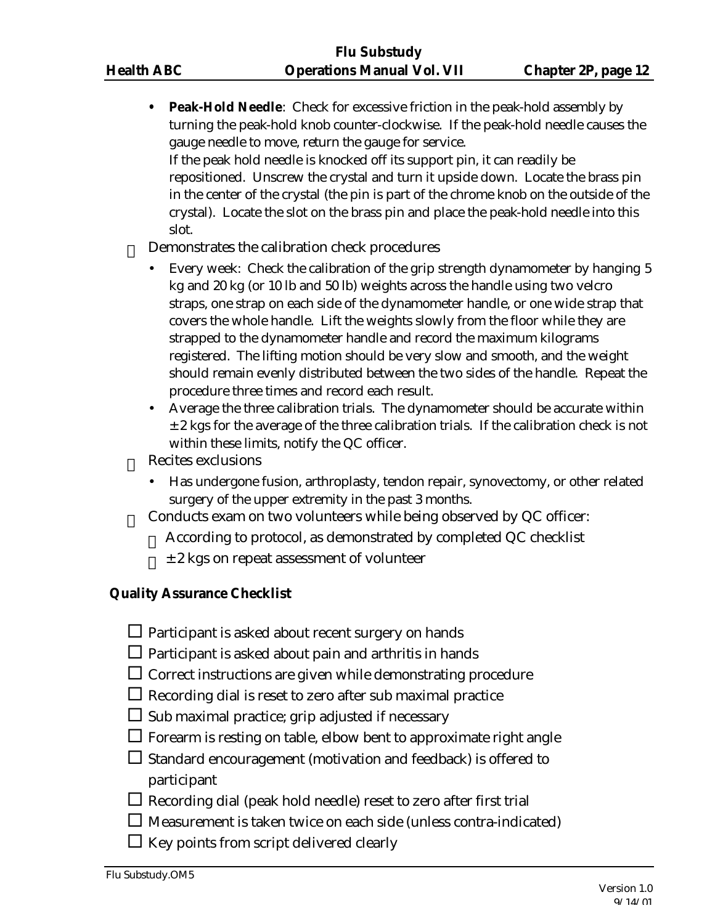**• Peak-Hold Needle**: Check for excessive friction in the peak-hold assembly by turning the peak-hold knob counter-clockwise. If the peak-hold needle causes the gauge needle to move, return the gauge for service. If the peak hold needle is knocked off its support pin, it can readily be repositioned. Unscrew the crystal and turn it upside down. Locate the brass pin in the center of the crystal (the pin is part of the chrome knob on the outside of the crystal). Locate the slot on the brass pin and place the peak-hold needle into this slot.

#### Demonstrates the calibration check procedures

- Every week: Check the calibration of the grip strength dynamometer by hanging 5 kg and 20 kg (or 10 lb and 50 lb) weights across the handle using two velcro straps, one strap on each side of the dynamometer handle, or one wide strap that covers the whole handle. Lift the weights slowly from the floor while they are strapped to the dynamometer handle and record the maximum kilograms registered. The lifting motion should be very slow and smooth, and the weight should remain evenly distributed between the two sides of the handle. Repeat the procedure three times and record each result.
- Average the three calibration trials. The dynamometer should be accurate within  $\pm$  2 kgs for the average of the three calibration trials. If the calibration check is not within these limits, notify the QC officer.
- Recites exclusions
	- Has undergone fusion, arthroplasty, tendon repair, synovectomy, or other related surgery of the upper extremity in the past 3 months.
- $\equiv$  Conducts exam on two volunteers while being observed by QC officer:
	- According to protocol, as demonstrated by completed QC checklist
	- $\angle$  ± 2 kgs on repeat assessment of volunteer

#### **Quality Assurance Checklist**

- $\Box$  Participant is asked about recent surgery on hands
- $\square$  Participant is asked about pain and arthritis in hands
- $\Box$  Correct instructions are given while demonstrating procedure
- $\Box$  Recording dial is reset to zero after sub maximal practice
- $\Box$  Sub maximal practice; grip adjusted if necessary
- $\Box$  Forearm is resting on table, elbow bent to approximate right angle
- $\square$  Standard encouragement (motivation and feedback) is offered to participant
- $\Box$  Recording dial (peak hold needle) reset to zero after first trial
- $\square$  Measurement is taken twice on each side (unless contra-indicated)
- $\Box$  Key points from script delivered clearly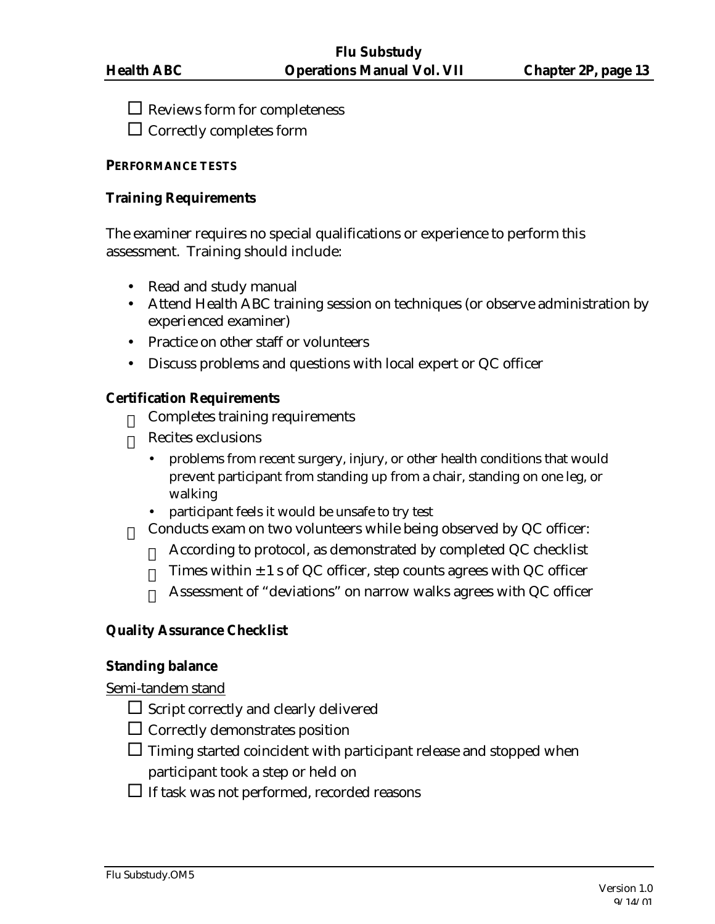$\square$  Reviews form for completeness

 $\Box$  Correctly completes form

#### **PERFORMANCE TESTS**

#### **Training Requirements**

The examiner requires no special qualifications or experience to perform this assessment. Training should include:

- Read and study manual
- Attend Health ABC training session on techniques (or observe administration by experienced examiner)
- Practice on other staff or volunteers
- Discuss problems and questions with local expert or QC officer

# **Certification Requirements**

- Completes training requirements
- Recites exclusions
	- problems from recent surgery, injury, or other health conditions that would prevent participant from standing up from a chair, standing on one leg, or walking
	- participant feels it would be unsafe to try test
- $\equiv$  Conducts exam on two volunteers while being observed by QC officer:
	- According to protocol, as demonstrated by completed QC checklist
	- $\equiv$  Times within  $\pm$  1 s of QC officer, step counts agrees with QC officer
	- Assessment of "deviations" on narrow walks agrees with QC officer

# **Quality Assurance Checklist**

# **Standing balance**

Semi-tandem stand

- $\square$  Script correctly and clearly delivered
- $\Box$  Correctly demonstrates position
- $\square$  Timing started coincident with participant release and stopped when participant took a step or held on
- $\Box$  If task was not performed, recorded reasons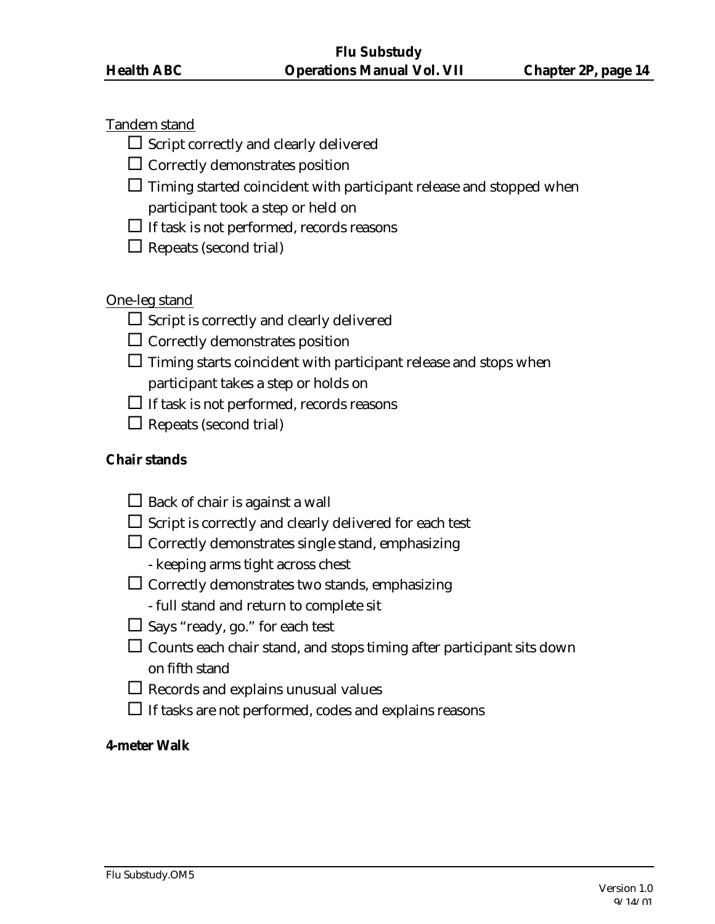# Tandem stand

 $\square$  Script correctly and clearly delivered

 $\Box$  Correctly demonstrates position

 $\square$  Timing started coincident with participant release and stopped when

participant took a step or held on

 $\Box$  If task is not performed, records reasons

 $\Box$  Repeats (second trial)

# One-leg stand

 $\square$  Script is correctly and clearly delivered

 $\Box$  Correctly demonstrates position

 $\Box$  Timing starts coincident with participant release and stops when

participant takes a step or holds on

 $\Box$  If task is not performed, records reasons

 $\Box$  Repeats (second trial)

# **Chair stands**

- $\Box$  Back of chair is against a wall
- $\Box$  Script is correctly and clearly delivered for each test
- $\Box$  Correctly demonstrates single stand, emphasizing
	- keeping arms tight across chest
- $\square$  Correctly demonstrates two stands, emphasizing
	- full stand and return to complete sit
- $\square$  Says "ready, go." for each test
- $\Box$  Counts each chair stand, and stops timing after participant sits down on fifth stand
- $\Box$  Records and explains unusual values
- $\Box$  If tasks are not performed, codes and explains reasons

### **4-meter Walk**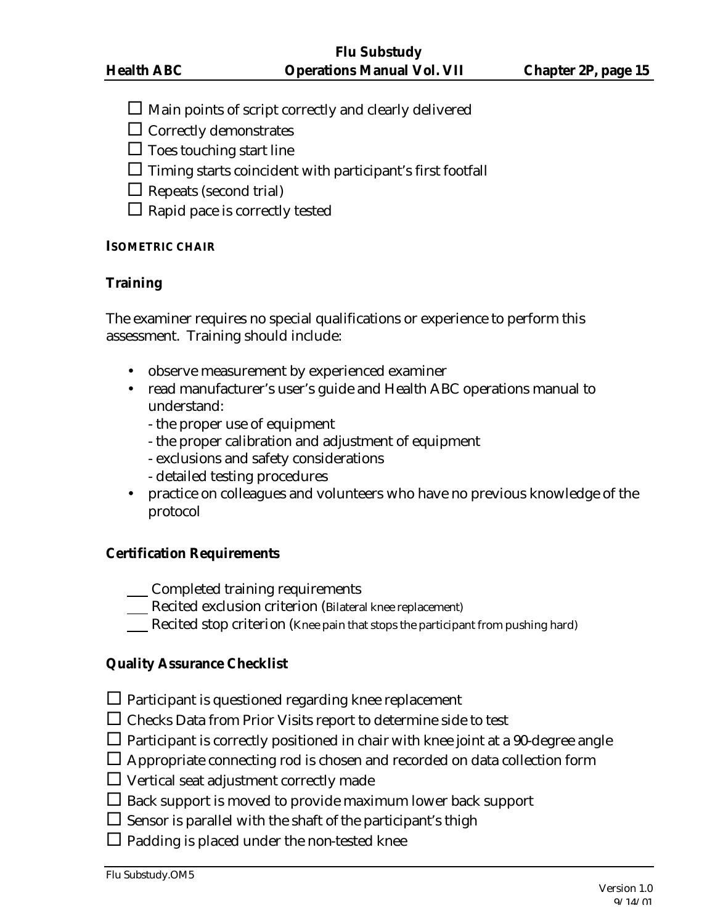$\square$  Main points of script correctly and clearly delivered

 $\Box$  Correctly demonstrates

 $\square$  Toes touching start line

 $\square$  Timing starts coincident with participant's first footfall

- $\Box$  Repeats (second trial)
- $\Box$  Rapid pace is correctly tested

# **ISOMETRIC CHAIR**

# **Training**

The examiner requires no special qualifications or experience to perform this assessment. Training should include:

- observe measurement by experienced examiner
- read manufacturer's user's guide and Health ABC operations manual to understand:
	- the proper use of equipment
	- the proper calibration and adjustment of equipment
	- exclusions and safety considerations
	- detailed testing procedures
- practice on colleagues and volunteers who have no previous knowledge of the protocol

# **Certification Requirements**

- Completed training requirements
- Recited exclusion criterion (Bilateral knee replacement)
- Recited stop criterion (Knee pain that stops the participant from pushing hard)

# **Quality Assurance Checklist**

- $\Box$  Participant is questioned regarding knee replacement
- $\Box$  Checks Data from Prior Visits report to determine side to test
- $\square$  Participant is correctly positioned in chair with knee joint at a 90-degree angle
- $\Box$  Appropriate connecting rod is chosen and recorded on data collection form
- $\Box$  Vertical seat adjustment correctly made
- $\Box$  Back support is moved to provide maximum lower back support
- $\square$  Sensor is parallel with the shaft of the participant's thigh
- $\square$  Padding is placed under the non-tested knee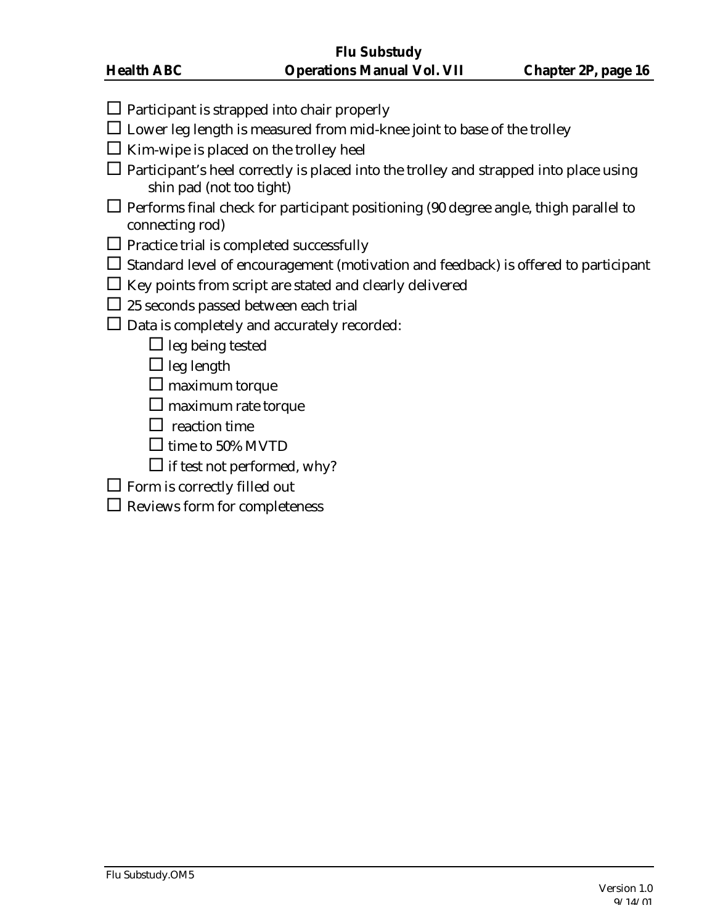- $\Box$  Participant is strapped into chair properly
- $\square$  Lower leg length is measured from mid-knee joint to base of the trolley
- $\square$  Kim-wipe is placed on the trolley heel
- $\Box$  Participant's heel correctly is placed into the trolley and strapped into place using shin pad (not too tight)
- $\Box$  Performs final check for participant positioning (90 degree angle, thigh parallel to connecting rod)
- $\Box$  Practice trial is completed successfully
- $\square$  Standard level of encouragement (motivation and feedback) is offered to participant
- $\square$  Key points from script are stated and clearly delivered
- $\square$  25 seconds passed between each trial
- $\square$  Data is completely and accurately recorded:
	- $\Box$  leg being tested
	- $\Box$  leg length
	- $\square$  maximum torque
	- $\square$  maximum rate torque
	- $\square$  reaction time
	- $\Box$  time to 50% MVTD
	- $\square$  if test not performed, why?
- $\square$  Form is correctly filled out
- $\square$  Reviews form for completeness